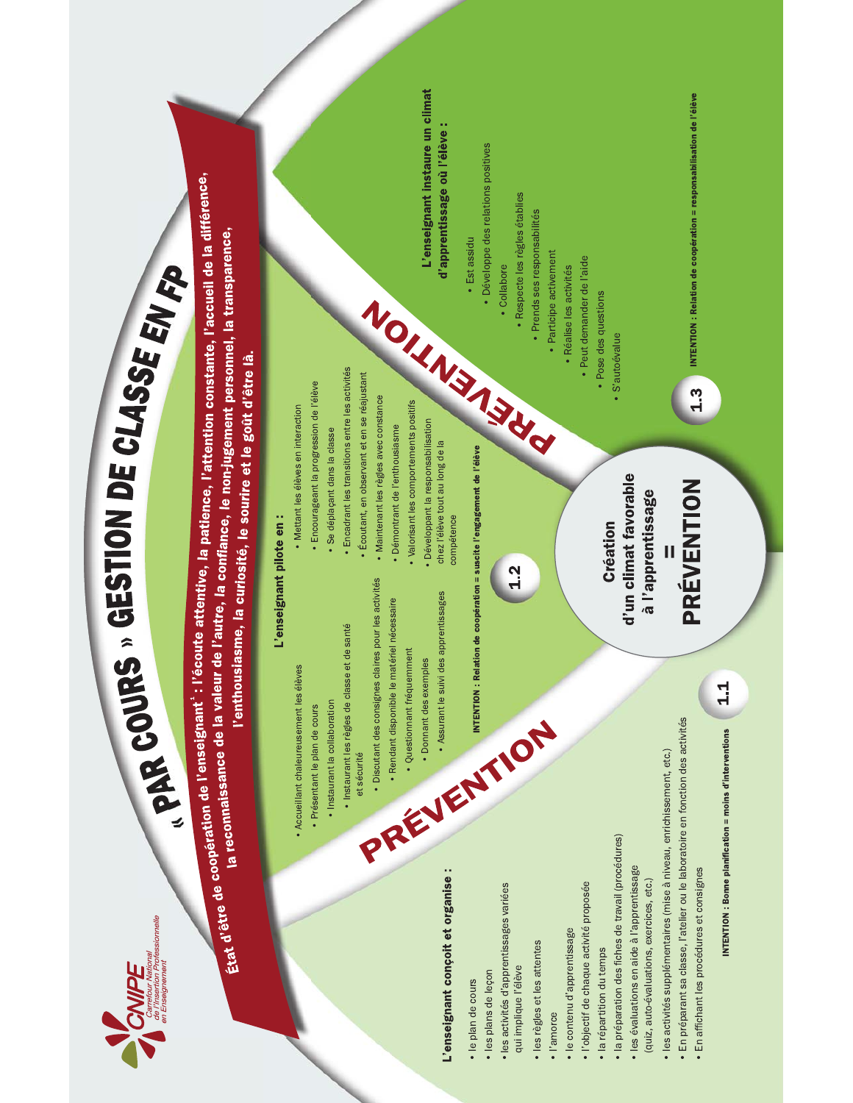

# **CLSMONDE CLASSE**<br> **CLSMONDE CLASSE**<br> **ENDE CLASSE**<br> **ENDE CLASSE**<br> **ENDE CLASSE**<br> **ENDE CLASSE**<br> **ENDE CLASSE**<br> **ENDE CLASSE**<br> **ENDE CLASSE**<br> **ENDE CLASSE**<br> **ENDE CLASSE**<br> **ENDE CLASSE**<br> **ENDE CLASSE**<br> **ENDE CLASSE**<br> **END**

 , K4.@/73C045 2>7@C081@4 ?02L:;<0 , M0?:>23N45 ? 82. 80 , K4.3?745 2085734815@48 057 283.51<:8 , O.@/534P 0 @B807<345 0 48 7:3Q/854 , J314503 2087;C208 3<. @4853.0 , D:9@4573 ?02L456@/81390 , R32@718345 208.@9>75090458 >@15G , D:<02@>345 2708>@43B12835@4 .60S2L:;<0 5@/3 2@4C?023 .@9>:504. The contract of the contract of the contract of the contract of the contract of the contract of the contract of the contract of the contract of the contract of the contract of the contract of the contract of the contract o The contract of the contract of the contract of the contract of the contract of the contract of the contract of the contract of the contract of the contract of the contract of the contract of the contract of the contract o **COUPE**<br> **COUPE**<br> **Etat** d'être de coopération de l'enseignant : l'<br> **Etat** d'être de coopération de l'enseignant : l'<br>
A recommissance de la valeur<br>
l'entre de coopération de l'enseignant : l'<br>
A recommissance de la valeu **PE**<br> *L*<br> *Lead d'être de coopération de l'enseignait : l'écoupérainne de la valeur de l'<br> Lead d'être de coopération de l'enseignait : l'écoupération de la valeur de l'actionnaire de la valeur de l'<br>
Clare de coopératio*  $\begin{array}{|c|c|c|c|}\n\hline\n\end{array}$ <br>  $\begin{array}{|c|c|c|}\n\hline\n\end{array}$ <br>  $\begin{array}{|c|c|c|}\n\hline\n\end{array}$ <br>  $\begin{array}{|c|c|c|}\n\hline\n\end{array}$ <br>  $\begin{array}{|c|c|c|}\n\hline\n\end{array}$ <br>  $\begin{array}{|c|c|c|}\n\hline\n\end{array}$ <br>  $\begin{array}{|c|c|c|}\n\hline\n\end{array}$ <br>  $\begin{array}{|c|c|c|}\n\hline\n\end{array$  $\frac{14\sqrt{2}}{\sqrt{2}}$  $S$  $E_{M}$ <br> $F_D$ <br>stante, l'accueil de la différence.<br>resonnel, la transparence.  $\frac{1}{\sqrt{2}}$  - $\sum_{\substack{n \text{ times } n}} \prod_{\substack{n \text{ times } n}} \prod_{\substack{n \text{ times } n}}$ <br>  $\prod_{\substack{n \text{ times } n}} \prod_{\substack{n \text{ times } n}}$ <br>  $\prod_{\substack{n \text{ times } n}} \prod_{\substack{n \text{ times } n}}$ <br>  $\prod_{\substack{n \text{ times } n}} \prod_{\substack{n \text{ times } n}}$ <br>  $\prod_{\substack{n \text{ times } n}} \prod_{\substack{n \text{ times } n}}$ <br>  $\prod_{\substack{n \text{ times } n}} \prod_{\substack{n \text{ times } n}}$ <br>  $\prod_{\substack{n \text{ times } n}}$ **ARRESTION SECTION SECTION SECTION SECTION SECTION SECTION SECTION SECTION SECTION SECTION SECTION SECTION SECTION SECTION SECTION SECTION SECTION SECTION SECTION SECTION SECTION SECTION SECTION SECTION SECTION SECTION SE CESTO IDES ANDES AN CESTION**<br> **IN de l'enseignant : l'écoute attentive, la patient parties de la valeur de l'autre, la confiance<br>
raissance de la valeur de l'autre, la confiance<br>
l'enthousiasme, la curiosité, le ,<br>
l'ense CESTION DE**<br> **CESTION DE**<br> **CESTION DE**<br> **CESTION DE**<br> **CESTION DE**<br> **CESTION DE**<br> **CESTION DE**<br> **CESTION DE**<br> **CESTION DE**<br> **CESTION DE**<br> **CESTION DE**<br> **CESTION**<br> **CESTION DE**<br> **CESTION DE**<br> **CESTION DE**<br> **CESTION DE**<br> SOURS » GESTION DE CLASSE SV SI<br>meeganti : l'écoute attentive, la patience, l'attention constante, l'accueil de la<br>ce de la vialeur de l'autre, la confinice, le non-jugement personnel, la transparence<br>l'entitouisiasme, la NDE CLASSE EVER<br>
tience, l'attention constante, l'accueil de la difference,<br>
e, le non-jugement personnel, la transparence,<br>
sourire et le goût d'être là.<br>
e, le non-jugement personnel, la transparence,<br>
sourire et le goût  $\begin{array}{l} \textbf{CLASSE} \\ \textbf{F1} \\ \textbf{F2} \\ \textbf{F3} \\ \textbf{F4} \\ \textbf{F5} \\ \textbf{F6} \\ \textbf{F8} \\ \textbf{F8} \\ \textbf{F9} \\ \textbf{F9} \\ \textbf{F1} \\ \textbf{F2} \\ \textbf{F1} \\ \textbf{F2} \\ \textbf{F3} \\ \textbf{F4} \\ \textbf{F4} \\ \textbf{F3} \\ \textbf{F4} \\ \textbf{F4} \\ \textbf{F3} \\ \textbf{F4} \\ \textbf{F4} \\ \textbf{F5} \\ \textbf{F6} \\ \textbf$  $SSE$   $\frac{1}{2}M$  $\frac{1}{2}$ Sopération de l'enseignant" : l'écoute attentive, la patience, l'attentive de la valeur de l'écoute attentive, la patience, l'attentive de la valeur de l'autre de la confiance de non-juge<br>la réconnaissance de la valeur de  $\begin{tabular}{ll} \textbf{0} & \textbf{0} & \textbf{0} & \textbf{0} & \textbf{0} & \textbf{0} & \textbf{0} & \textbf{0} & \textbf{0} & \textbf{0} & \textbf{0} & \textbf{0} & \textbf{0} & \textbf{0} & \textbf{0} & \textbf{0} & \textbf{0} & \textbf{0} & \textbf{0} & \textbf{0} & \textbf{0} & \textbf{0} & \textbf{0} & \textbf{0} & \textbf{0} & \textbf{0} & \textbf{0} & \textbf{0} & \textbf{0} & \textbf{0} & \text$  $\begin{array}{ll}\n\text{OMDE} & \text{CMSSE} \\
\text{patione, l'attention constant, l'account de la c} \\
\text{and} & \text{e.} & \text{f.} & \text{f.} \\
\text{and} & \text{f.} & \text{e.} & \text{e.} \\
\text{pationer, le non-lugement personel, la transpanenc} \\
\text{pationer, les soline et le gódt d'être là.} \\
\text{pioner, des desuparation de l'after de la c} & \text{e.} & \text{f.} & \text{f.} \\
\text{pioner, de la c} & \text{f.} & \text{f.} & \text{g.} \\
\text{pioner$ NDE CLASSE EVERE<br>
ience, l'attention constante, l'accueil de la différe<br>
<sup>9, le</sup> non-jugement personnel, la transparence,<br>
sourire et le goût d'être là.<br>
ience, l'attention constante, l'accueil de la différ<br>
sourire et le **enseignant<sup>:</sup> : l'écoute attentive, la patience, l'attention co<br>enseignant<sup>:</sup> : l'écoute attentive, la patience, l'attention co<br>nce de la valeur de l'autre, la confiance, le non-jugement po<br>neureusementes éleves l'enseign** We de coopération de la valeur de l'autre, la corro<br>
l'etre de connaissance de la valeur de l'autre, la curion<br>
l'enthousiasme, la curion<br>
l'enthousiasme, la curion<br>
consument de since de la valeur de l'enseignant<br>
consume **The user of the contrainsance of the value of the value of the value of the value of the solution of the solution of the solution of the solution of the solution of the solution of the solution of the solution of the sol** Tautre, la confiance, l'attention constante, l'acc<br> **l'autre, la confiance, le non-jugement personnel, la tr<br>
me, la curiosité, le sourire et le goût d'être là.<br>
L'enseignant pilote en :<br>
· Metant es éless en interaction<br>** y<br>Seignant<sup>:</sup> : l'écou<br>9 de la valeur de<br>l'enthousias

- 
- 
- 
- 
- $\begin{minipage}{0.9\textwidth} \begin{tabular}{|c|c|} \hline \multicolumn{1}{|c|}{\textwidth} \end{tabular} \end{minipage} \begin{minipage}{0.9\textwidth} \begin{tabular}{|c|c|} \hline \multicolumn{1}{|c|}{\textwidth} \end{tabular} \end{minipage} \begin{minipage}{0.9\textwidth} \begin{tabular}{|c|c|} \hline \multicolumn{1}{|c|}{\textwidth} \end{tabular} \end{minipage} \end{minipage} \begin{minipage}{0.9\textwidth} \begin{tabular}{|c|c|} \hline \multicolumn{1}{|c|}{\text$ 
	-
- 

# sponible le materiel necessaire<br>mant fréquemment<br>ant des exemples<br>urant le suivi des apprentissages chaz l'élève<br>compétence<br>**NERTION : Relation de coopertion = suscite l'enga**<br>MERTION : Relation de coopertion = suscite l'e e le materiel necessaire<br>suemment<br>semples de les conservants es comportements positifs<br>suivi des apprentissages chaz l'élève tout au long de la<br>suivi des apprentissages chaz l'élève tout au long de la<br>suivi de de conservan . Démontrant de l'enthrousiasme<br>
. Valorisant les comportements positifs<br>
chez l'élève tout au long de la<br>compétence<br>
seste l'engerement de l'élève de la positifs<br>
de l'élève de la position de la positifs<br>
de l'élève de la

- 
- **L'enseignant conçoit et organise<br>
 le plan de cours<br>
 les plans de leçon<br>
 les plans de leçon<br>
 les activités d'apprentissages variées<br>
 les règles et les attentes<br>
 l'amorce<br>
 le contenu d'apprentissage<br>
 le cont L'enseignant conçoit et organise :**<br>
• le plan de cours<br>
• les plans de leçon<br>
• les plans de leçon<br>
• les activités d'apprentissages variées<br>
• les règles et les attentes<br>
• l'amore<br>
• le contenu d'apprentissage<br>
• l'obj **L'enseignant conçoit et organise :**<br>
• le plan de cours<br>
• les plans de leçon<br>
• les activités d'apprentissages variées<br>
qui implique l'élève<br>
• les règles et les attentes<br>
• l'anorce<br>
• l'objectif de chaque activité prop + list<br>
+ l'enseignant conçoit et organise :<br>
+ le plan de cours<br>
+ le plan de cours<br>
+ les plans de leçon<br>
+ les plans de leçon<br>
+ les plans de leçon<br>
+ les plans de leçon<br>
+ les plans de leçon<br>
+ les plans de leçon<br>
+ l This tend and a compare the compare of the compare of the comparation of the second comparation of the second comparation of the comparation of the comparation of the comparation of the comparation of the comparation of th
	-
- 
- 
- 
- 
- L'enseignant conçoit et organise :<br>
 le plans de leçon<br>
 les plans de leçon<br>
 les plans de leçon<br>
qui implique l'élève<br>
 les règles et les attentes<br>
 l'amore<br>
 le contenu d'apprentissage<br>
 le préparation du temps<br>
•
- 4 Plan de cours<br>
 le plan de cours<br>
 les activités d'apprentissages van<br>
qui implique l'élève<br>
 les règles et les attentes<br>
 l'amore<br>
 le contenu d'apprentissage<br>
 le contenu d'apprentissage<br>
 l'objectif de chaque • les activités d'apprentissages variées<br>qui implique l'élève<br>el es règles et les attentes<br>• l'amorce<br>• l'amorce<br>• le contenu d'apprentissage<br>• le répartition du temps<br>• la préparation des fiches de travail (procédure<br>• le
- L'enseignant conçoit et organise :<br>
vie plan de cours<br>
vies activités d'apprentissages variées<br>
vies activités d'apprentissages variées<br>
qui implique l'êlève<br>
vier régles et les attents<br>
vient de chaque activité proposée<br> • le plan de cours<br>• les plans de leçon<br>• les activités d'apprentissages variées<br>qui implique l'élève<br>• les régles et les attentes<br>• le régles et les attentes<br>• l'amorce<br>• l'amorce<br>• l'objectif de chaque activité proposée • les règles et les attentes<br>• l'amorce<br>• l'objectif de chaque activité proposée<br>• l'objectif de chaque activité proposée<br>• l'objectif de chaque activité proposée<br>• la répartition du temps<br>• les évaluations en aide à l'app e<br>
le contenu d'apprentissage<br>
de contenu d'apprentissage<br>
l'objectif de chaque activité proposée<br>
le répartition du temps<br>
le répartition du temps<br>
le sévaluations en aide à l'apprentissage<br>
(quiz, auto-évaluations, exerc • la répartition du temps<br>• la préparation des fiches de travail (procédures)<br>• les évaluations en aide à l'apprentissage<br>(quiz, auto-évaluations, exercices, etc.),<br>• les activités supplémentaires (mise à niveau, enrichiss
- qui implique l'élève<br>
 les règles et les attentes<br>
 l'amorce<br>
 l'objectif de chaque activité proposée<br>
 la répartition du temps<br>
 la prépartition du temps<br>
 les évaluations en aide à l'apprentissage<br>
 les activités + le contenu d'apprentissage<br>
+ l'objectif de chaque activité proposée<br>
+ la répartition du temps<br>
+ la répartition du temps<br>
+ la prépartition des fiches de travail (procédures)<br>
+ les évaluations en aide à l'apprentissag , l'objectif de chaque activité proposée<br>
, la répartition du temps<br>
, la répartition du temps<br>
, les évaluation en aide à l'apprentissage<br>
, les évaluations en aide à l'apprentissage<br>
, les cativités supplémentaires (mise uiz, auto-évaluations, exercices, etc.)<br>es activités supplémentaires (mise à niveau, enrichissement, etc.)<br>in préparant sa classe, l'atelier ou le laboratoire en fonction des activités<br>in affichant les procédures et consig iveau, enrichissement, etc.)<br>aboratoire en fonction des activités<br>ss<br>aanification = moins d'interventions (d. 1.1)<br>aanification = moins d'interventions (d. 1.1)  $\begin{array}{c} \begin{array}{c} \begin{array}{c} \begin{array}{c} \begin{array}{c} \end{array} \end{array} & \begin{array}{c} \end{array} & \begin{array}{c} \end{array} & \begin{array}{c} \end{array} & \begin{array}{c} \end{array} & \begin{array}{c} \end{array} & \begin{array}{c} \end{array} & \begin{array}{c} \end{array} & \begin{array}{c} \end{array} & \begin{array}{c} \end{array} & \begin{array}{c} \end{array} & \begin{array}{c} \end{array} & \begin{array}{c} \end{array} & \begin{array}{c} \end{array} & \begin{array}{$ 
	-
- 

Extra resolution a material comparation – sustain de l'essement de l'essement de l'essement de l'essement de l'essement de l'essement de l'essement de l'essement de l'essement de l'essement de l'essement de l'essement de l The contenum and the contenum of the contenum of the contenum of the contenum of  $\frac{M}{V}$ <br>
Création<br>
Création<br>
Création<br>
Création<br>
Création<br>
Création<br>
Création<br>
Création<br>
Création<br>
Création<br>
Création<br>
Création<br>
Création<br> MENTION : Realton a sustainte in the segment de l'angle d'un climat favorable<br>
d'un climat favorable<br>
d'un climat favorable<br>
a l'apprentissage<br>
PRÉVENTION<br>
d'une d'angle 1.1 
 -12<br>
Création<br>
Création<br>
d'un climat favorable<br>
al'apprentissage<br>
al'apprentissage<br>
PRÉVENTION<br>
1 !

Response to the second service of the second service of the second service of the second service of the second service of the second service of the second service of the second second service of the second second second se

de l'élève<br>
(1980)<br>
(1980) de l'élève des restaurs positiv<br>
(1980) de l'élève des régles étailes<br>
(1980) de l'élève des regnonsabilités<br>
(1980) de l'élève des questions<br>
(1980) de l'élève des questions<br>
(1980) de l'élève d , collabore<br>
, Pends ses responsabilités<br>
, Participe activement<br>
, Participe activement<br>
, Peut demander de l'aide<br>
, Post des questions<br>
, S'autoévalue<br>
, S'autoévalue<br>
, S'autoévalue<br>
, S'autoévalue<br>
, S'autoévalue<br>
,  $\cdot$  S'autoévalue $\boxed{1.3}$  INTENTION : Relation de coopération = respe $\boxed{1.3}$ 

# nne<br>
tis<br>
tis<br>
tis<br>
tis<br>
tis<br>
d'apprentissage où l'élève :<br>
d'apprentissage où l'élève :<br>
d'apprentissage où l'élève :<br>
. Est assidu<br>
. Développe des reations positives<br>
. Pent de regles établies<br>
. Pent demander de l'alde Sattis<br>
I'enseignant instant<br>
I'enseignant instant<br>
I'enseignant instant<br>
I'enseignant instant<br>
I'enseignant instant<br>
Collabore<br>
Perdence les règes établies<br>
Peut demander de l'aide<br>
Peut demander de l'aide<br>
Peut demander Trien<br>
stion<br>
(1)<br>
allapprentissage où l'élève :<br>
. Est assidu<br>
. Développe des relations positives<br>
. Penticipe activement<br>
. Penticipe activement<br>
. Penticipe activement<br>
. Penticipe activement<br>
. Penticipe activement<br>
. , =704?8 0 7 >@43B125:8 + - -L'enseignant instaure un climat<br>d'apprentissage où l'élève :<br>st assidu<br>eloppe des relations positives<br>des règles établies<br>les règles établies versions and the series of the series of the series of the series of the series of the series of the series of the series of the series of the series of the series of the series of the series of the series of the series of

- 
- - -
- eve<br>
se de la contrasta de la construe de la construe de la construe de la construe de la construe de la construe de la construe de la construe de la construe de la construe de la construe de la construe de la construe de
	- - - - - -
						-
						-

évalue<br>NTENTION : Relation de coopération = responsabilisa<br>NTENTION : Relation de coopération = responsabilisa N : Relation de coopération = responsabilisation de l $\blacksquare$ ion de coopération = responsabilisation de l'élève<br>lon de coopération = responsabilisation de l'élève<br>. Marian Channel Cole (1996)<br>Marian Channel Channel Channel Channel Channel Channel Channel Channel Channel Channel Channel Channel Channel<br>Marian Channel Channel Channel Channel Channel Channel Channel Channel Channel Chann